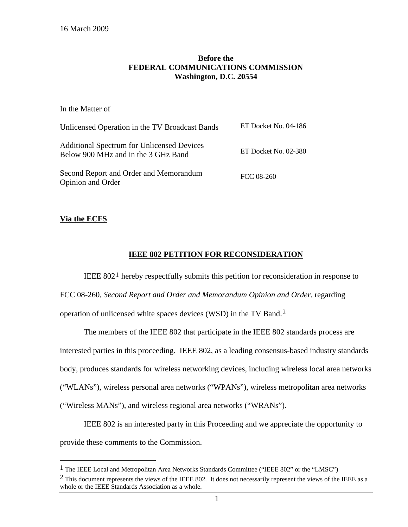# **Before the FEDERAL COMMUNICATIONS COMMISSION Washington, D.C. 20554**

| In the Matter of                                                                         |                        |
|------------------------------------------------------------------------------------------|------------------------|
| Unlicensed Operation in the TV Broadcast Bands                                           | ET Docket No. 04-186   |
| <b>Additional Spectrum for Unlicensed Devices</b><br>Below 900 MHz and in the 3 GHz Band | ET Docket No. $02-380$ |
| Second Report and Order and Memorandum<br>Opinion and Order                              | FCC 08-260             |

# **Via the ECFS**

 $\overline{a}$ 

# **IEEE 802 PETITION FOR RECONSIDERATION**

IEEE 802[1](#page-0-0) hereby respectfully submits this petition for reconsideration in response to FCC 08-260, *Second Report and Order and Memorandum Opinion and Order*, regarding operation of unlicensed white spaces devices (WSD) in the TV Band.[2](#page-0-1)

The members of the IEEE 802 that participate in the IEEE 802 standards process are interested parties in this proceeding. IEEE 802, as a leading consensus-based industry standards body, produces standards for wireless networking devices, including wireless local area networks ("WLANs"), wireless personal area networks ("WPANs"), wireless metropolitan area networks ("Wireless MANs"), and wireless regional area networks ("WRANs").

IEEE 802 is an interested party in this Proceeding and we appreciate the opportunity to provide these comments to the Commission.

<span id="page-0-0"></span><sup>1</sup> The IEEE Local and Metropolitan Area Networks Standards Committee ("IEEE 802" or the "LMSC")

<span id="page-0-1"></span> $2$  This document represents the views of the IEEE 802. It does not necessarily represent the views of the IEEE as a whole or the IEEE Standards Association as a whole.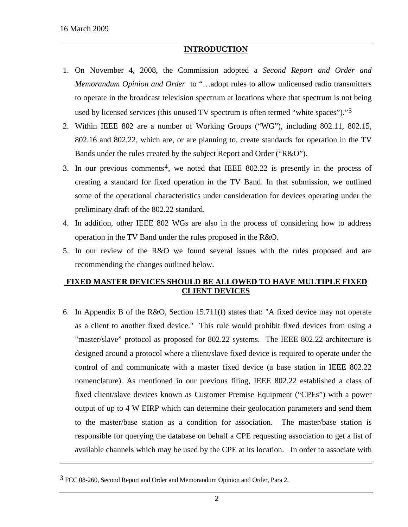$\overline{a}$ 

# **INTRODUCTION**

- 1. On November 4, 2008, the Commission adopted a *Second Report and Order and Memorandum Opinion and Order* to "…adopt rules to allow unlicensed radio transmitters to operate in the broadcast television spectrum at locations where that spectrum is not being used by licensed services (this unused TV spectrum is often termed "white spaces")."[3](#page-1-0)
- 2. Within IEEE 802 are a number of Working Groups ("WG"), including 802.11, 802.15, 802.16 and 802.22, which are, or are planning to, create standards for operation in the TV Bands under the rules created by the subject Report and Order ("R&O").
- 3. In our previous comments<sup>[4](#page-1-1)</sup>, we noted that IEEE 802.22 is presently in the process of creating a standard for fixed operation in the TV Band. In that submission, we outlined some of the operational characteristics under consideration for devices operating under the preliminary draft of the 802.22 standard.
- 4. In addition, other IEEE 802 WGs are also in the process of considering how to address operation in the TV Band under the rules proposed in the R&O.
- 5. In our review of the R&O we found several issues with the rules proposed and are recommending the changes outlined below.

# **FIXED MASTER DEVICES SHOULD BE ALLOWED TO HAVE MULTIPLE FIXED CLIENT DEVICES**

6. In Appendix B of the R&O, Section 15.711(f) states that: "A fixed device may not operate as a client to another fixed device." This rule would prohibit fixed devices from using a "master/slave" protocol as proposed for 802.22 systems. The IEEE 802.22 architecture is designed around a protocol where a client/slave fixed device is required to operate under the control of and communicate with a master fixed device (a base station in IEEE 802.22 nomenclature). As mentioned in our previous filing, IEEE 802.22 established a class of fixed client/slave devices known as Customer Premise Equipment ("CPEs") with a power output of up to 4 W EIRP which can determine their geolocation parameters and send them to the master/base station as a condition for association. The master/base station is responsible for querying the database on behalf a CPE requesting association to get a list of available channels which may be used by the CPE at its location. In order to associate with

<span id="page-1-1"></span><span id="page-1-0"></span><sup>3</sup> FCC 08-260, Second Report and Order and Memorandum Opinion and Order, Para 2.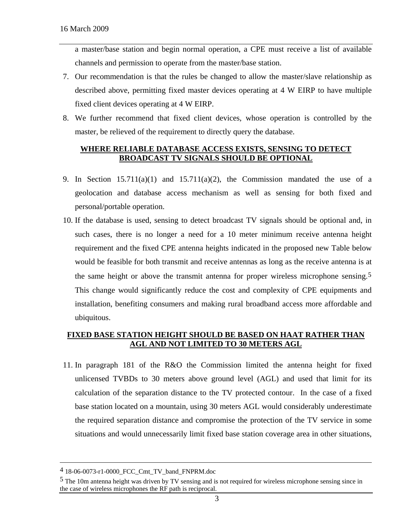a master/base station and begin normal operation, a CPE must receive a list of available channels and permission to operate from the master/base station.

- 7. Our recommendation is that the rules be changed to allow the master/slave relationship as described above, permitting fixed master devices operating at 4 W EIRP to have multiple fixed client devices operating at 4 W EIRP.
- 8. We further recommend that fixed client devices, whose operation is controlled by the master, be relieved of the requirement to directly query the database.

# **WHERE RELIABLE DATABASE ACCESS EXISTS, SENSING TO DETECT BROADCAST TV SIGNALS SHOULD BE OPTIONAL**

- 9. In Section 15.711(a)(1) and 15.711(a)(2), the Commission mandated the use of a geolocation and database access mechanism as well as sensing for both fixed and personal/portable operation.
- 10. If the database is used, sensing to detect broadcast TV signals should be optional and, in such cases, there is no longer a need for a 10 meter minimum receive antenna height requirement and the fixed CPE antenna heights indicated in the proposed new Table below would be feasible for both transmit and receive antennas as long as the receive antenna is at the same height or above the transmit antenna for proper wireless microphone sensing[.5](#page-2-0) This change would significantly reduce the cost and complexity of CPE equipments and installation, benefiting consumers and making rural broadband access more affordable and ubiquitous.

# **FIXED BASE STATION HEIGHT SHOULD BE BASED ON HAAT RATHER THAN AGL AND NOT LIMITED TO 30 METERS AGL**

11. In paragraph 181 of the R&O the Commission limited the antenna height for fixed unlicensed TVBDs to 30 meters above ground level (AGL) and used that limit for its calculation of the separation distance to the TV protected contour. In the case of a fixed base station located on a mountain, using 30 meters AGL would considerably underestimate the required separation distance and compromise the protection of the TV service in some situations and would unnecessarily limit fixed base station coverage area in other situations,

 $\overline{a}$ 

<sup>4 18-06-0073-</sup>r1-0000\_FCC\_Cmt\_TV\_band\_FNPRM.doc

<span id="page-2-0"></span><sup>&</sup>lt;sup>5</sup> The 10m antenna height was driven by TV sensing and is not required for wireless microphone sensing since in the case of wireless microphones the RF path is reciprocal.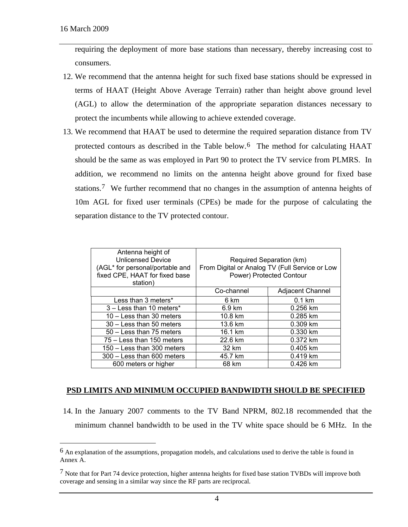$\overline{a}$ 

requiring the deployment of more base stations than necessary, thereby increasing cost to consumers.

- 12. We recommend that the antenna height for such fixed base stations should be expressed in terms of HAAT (Height Above Average Terrain) rather than height above ground level (AGL) to allow the determination of the appropriate separation distances necessary to protect the incumbents while allowing to achieve extended coverage.
- 13. We recommend that HAAT be used to determine the required separation distance from TV protected contours as described in the Table below.[6](#page-3-0) The method for calculating HAAT should be the same as was employed in Part 90 to protect the TV service from PLMRS. In addition, we recommend no limits on the antenna height above ground for fixed base stations.[7](#page-3-1) We further recommend that no changes in the assumption of antenna heights of 10m AGL for fixed user terminals (CPEs) be made for the purpose of calculating the separation distance to the TV protected contour.

| Antenna height of<br><b>Unlicensed Device</b><br>(AGL* for personal/portable and<br>fixed CPE, HAAT for fixed base<br>station) | Required Separation (km)<br>From Digital or Analog TV (Full Service or Low<br>Power) Protected Contour |                         |
|--------------------------------------------------------------------------------------------------------------------------------|--------------------------------------------------------------------------------------------------------|-------------------------|
|                                                                                                                                | Co-channel                                                                                             | <b>Adjacent Channel</b> |
| Less than 3 meters*                                                                                                            | 6 km                                                                                                   | $0.1 \text{ km}$        |
| 3 - Less than 10 meters*                                                                                                       | 6.9 km                                                                                                 | 0.256 km                |
| 10 - Less than 30 meters                                                                                                       | 10.8 km                                                                                                | 0.285 km                |
| 30 - Less than 50 meters                                                                                                       | 13.6 km                                                                                                | 0.309 km                |
| 50 - Less than 75 meters                                                                                                       | 16.1 km                                                                                                | 0.330 km                |
| 75 – Less than 150 meters                                                                                                      | 22.6 km                                                                                                | 0.372 km                |
| 150 - Less than 300 meters                                                                                                     | 32 km                                                                                                  | $0.405$ km              |
| 300 - Less than 600 meters                                                                                                     | 45.7 km                                                                                                | 0.419 km                |
| 600 meters or higher                                                                                                           | 68 km                                                                                                  | $0.426$ km              |

# **PSD LIMITS AND MINIMUM OCCUPIED BANDWIDTH SHOULD BE SPECIFIED**

14. In the January 2007 comments to the TV Band NPRM, 802.18 recommended that the minimum channel bandwidth to be used in the TV white space should be 6 MHz. In the

<span id="page-3-0"></span><sup>&</sup>lt;sup>6</sup> An explanation of the assumptions, propagation models, and calculations used to derive the table is found in Annex A.

<span id="page-3-1"></span> $7$  Note that for Part 74 device protection, higher antenna heights for fixed base station TVBDs will improve both coverage and sensing in a similar way since the RF parts are reciprocal.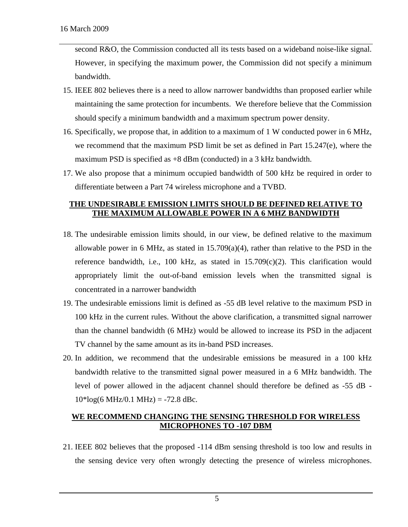second R&O, the Commission conducted all its tests based on a wideband noise-like signal. However, in specifying the maximum power, the Commission did not specify a minimum bandwidth.

- 15. IEEE 802 believes there is a need to allow narrower bandwidths than proposed earlier while maintaining the same protection for incumbents. We therefore believe that the Commission should specify a minimum bandwidth and a maximum spectrum power density.
- 16. Specifically, we propose that, in addition to a maximum of 1 W conducted power in 6 MHz, we recommend that the maximum PSD limit be set as defined in Part 15.247(e), where the maximum PSD is specified as +8 dBm (conducted) in a 3 kHz bandwidth.
- 17. We also propose that a minimum occupied bandwidth of 500 kHz be required in order to differentiate between a Part 74 wireless microphone and a TVBD.

# **THE UNDESIRABLE EMISSION LIMITS SHOULD BE DEFINED RELATIVE TO THE MAXIMUM ALLOWABLE POWER IN A 6 MHZ BANDWIDTH**

- 18. The undesirable emission limits should, in our view, be defined relative to the maximum allowable power in 6 MHz, as stated in  $15.709(a)(4)$ , rather than relative to the PSD in the reference bandwidth, i.e., 100 kHz, as stated in  $15.709(c)(2)$ . This clarification would appropriately limit the out-of-band emission levels when the transmitted signal is concentrated in a narrower bandwidth
- 19. The undesirable emissions limit is defined as -55 dB level relative to the maximum PSD in 100 kHz in the current rules. Without the above clarification, a transmitted signal narrower than the channel bandwidth (6 MHz) would be allowed to increase its PSD in the adjacent TV channel by the same amount as its in-band PSD increases.
- 20. In addition, we recommend that the undesirable emissions be measured in a 100 kHz bandwidth relative to the transmitted signal power measured in a 6 MHz bandwidth. The level of power allowed in the adjacent channel should therefore be defined as -55 dB -  $10*log(6 MHz/0.1 MHz) = -72.8 dBc.$

# **WE RECOMMEND CHANGING THE SENSING THRESHOLD FOR WIRELESS MICROPHONES TO -107 DBM**

21. IEEE 802 believes that the proposed -114 dBm sensing threshold is too low and results in the sensing device very often wrongly detecting the presence of wireless microphones.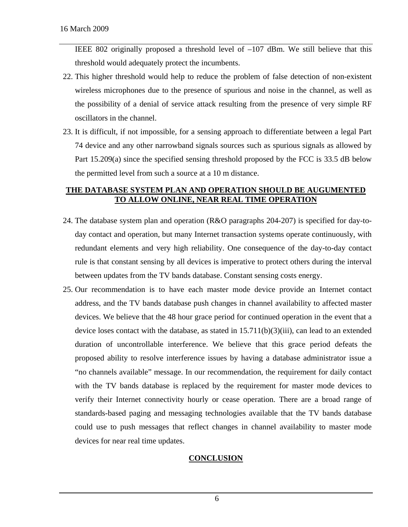IEEE 802 originally proposed a threshold level of –107 dBm. We still believe that this threshold would adequately protect the incumbents.

- 22. This higher threshold would help to reduce the problem of false detection of non-existent wireless microphones due to the presence of spurious and noise in the channel, as well as the possibility of a denial of service attack resulting from the presence of very simple RF oscillators in the channel.
- 23. It is difficult, if not impossible, for a sensing approach to differentiate between a legal Part 74 device and any other narrowband signals sources such as spurious signals as allowed by Part 15.209(a) since the specified sensing threshold proposed by the FCC is 33.5 dB below the permitted level from such a source at a 10 m distance.

# **THE DATABASE SYSTEM PLAN AND OPERATION SHOULD BE AUGUMENTED TO ALLOW ONLINE, NEAR REAL TIME OPERATION**

- 24. The database system plan and operation (R&O paragraphs 204-207) is specified for day-today contact and operation, but many Internet transaction systems operate continuously, with redundant elements and very high reliability. One consequence of the day-to-day contact rule is that constant sensing by all devices is imperative to protect others during the interval between updates from the TV bands database. Constant sensing costs energy.
- 25. Our recommendation is to have each master mode device provide an Internet contact address, and the TV bands database push changes in channel availability to affected master devices. We believe that the 48 hour grace period for continued operation in the event that a device loses contact with the database, as stated in  $15.711(b)(3)(iii)$ , can lead to an extended duration of uncontrollable interference. We believe that this grace period defeats the proposed ability to resolve interference issues by having a database administrator issue a "no channels available" message. In our recommendation, the requirement for daily contact with the TV bands database is replaced by the requirement for master mode devices to verify their Internet connectivity hourly or cease operation. There are a broad range of standards-based paging and messaging technologies available that the TV bands database could use to push messages that reflect changes in channel availability to master mode devices for near real time updates.

# **CONCLUSION**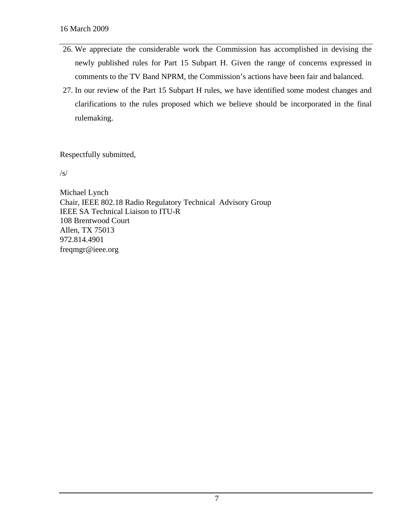- 26. We appreciate the considerable work the Commission has accomplished in devising the newly published rules for Part 15 Subpart H. Given the range of concerns expressed in comments to the TV Band NPRM, the Commission's actions have been fair and balanced.
- 27. In our review of the Part 15 Subpart H rules, we have identified some modest changes and clarifications to the rules proposed which we believe should be incorporated in the final rulemaking.

Respectfully submitted,

/s/

Michael Lynch Chair, IEEE 802.18 Radio Regulatory Technical Advisory Group IEEE SA Technical Liaison to ITU-R 108 Brentwood Court Allen, TX 75013 972.814.4901 freqmgr@ieee.org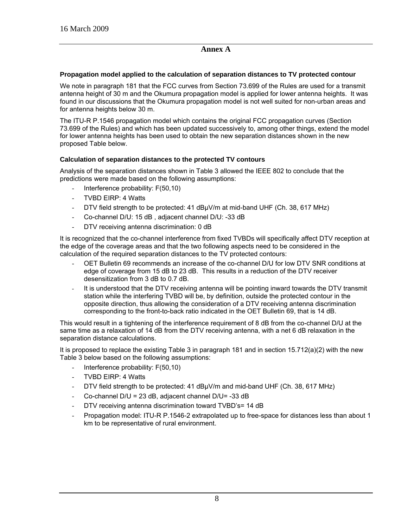# **Annex A**

#### **Propagation model applied to the calculation of separation distances to TV protected contour**

We note in paragraph 181 that the FCC curves from Section 73.699 of the Rules are used for a transmit antenna height of 30 m and the Okumura propagation model is applied for lower antenna heights. It was found in our discussions that the Okumura propagation model is not well suited for non-urban areas and for antenna heights below 30 m.

The ITU-R P.1546 propagation model which contains the original FCC propagation curves (Section 73.699 of the Rules) and which has been updated successively to, among other things, extend the model for lower antenna heights has been used to obtain the new separation distances shown in the new proposed Table below.

#### **Calculation of separation distances to the protected TV contours**

Analysis of the separation distances shown in Table 3 allowed the IEEE 802 to conclude that the predictions were made based on the following assumptions:

- Interference probability: F(50,10)
- TVBD EIRP: 4 Watts
- DTV field strength to be protected: 41 dBμV/m at mid-band UHF (Ch. 38, 617 MHz)
- Co-channel D/U: 15 dB, adjacent channel D/U: -33 dB
- DTV receiving antenna discrimination: 0 dB

It is recognized that the co-channel interference from fixed TVBDs will specifically affect DTV reception at the edge of the coverage areas and that the two following aspects need to be considered in the calculation of the required separation distances to the TV protected contours:

- OET Bulletin 69 recommends an increase of the co-channel D/U for low DTV SNR conditions at edge of coverage from 15 dB to 23 dB. This results in a reduction of the DTV receiver desensitization from 3 dB to 0.7 dB.
- It is understood that the DTV receiving antenna will be pointing inward towards the DTV transmit station while the interfering TVBD will be, by definition, outside the protected contour in the opposite direction, thus allowing the consideration of a DTV receiving antenna discrimination corresponding to the front-to-back ratio indicated in the OET Bulletin 69, that is 14 dB.

This would result in a tightening of the interference requirement of 8 dB from the co-channel D/U at the same time as a relaxation of 14 dB from the DTV receiving antenna, with a net 6 dB relaxation in the separation distance calculations.

It is proposed to replace the existing Table 3 in paragraph 181 and in section  $15.712(a)(2)$  with the new Table 3 below based on the following assumptions:

- Interference probability: F(50,10)
- TVBD EIRP: 4 Watts
- DTV field strength to be protected: 41 dBuV/m and mid-band UHF (Ch. 38, 617 MHz)
- Co-channel  $D/U = 23$  dB, adjacent channel  $D/U = -33$  dB
- DTV receiving antenna discrimination toward TVBD's= 14 dB
- Propagation model: ITU-R P.1546-2 extrapolated up to free-space for distances less than about 1 km to be representative of rural environment.